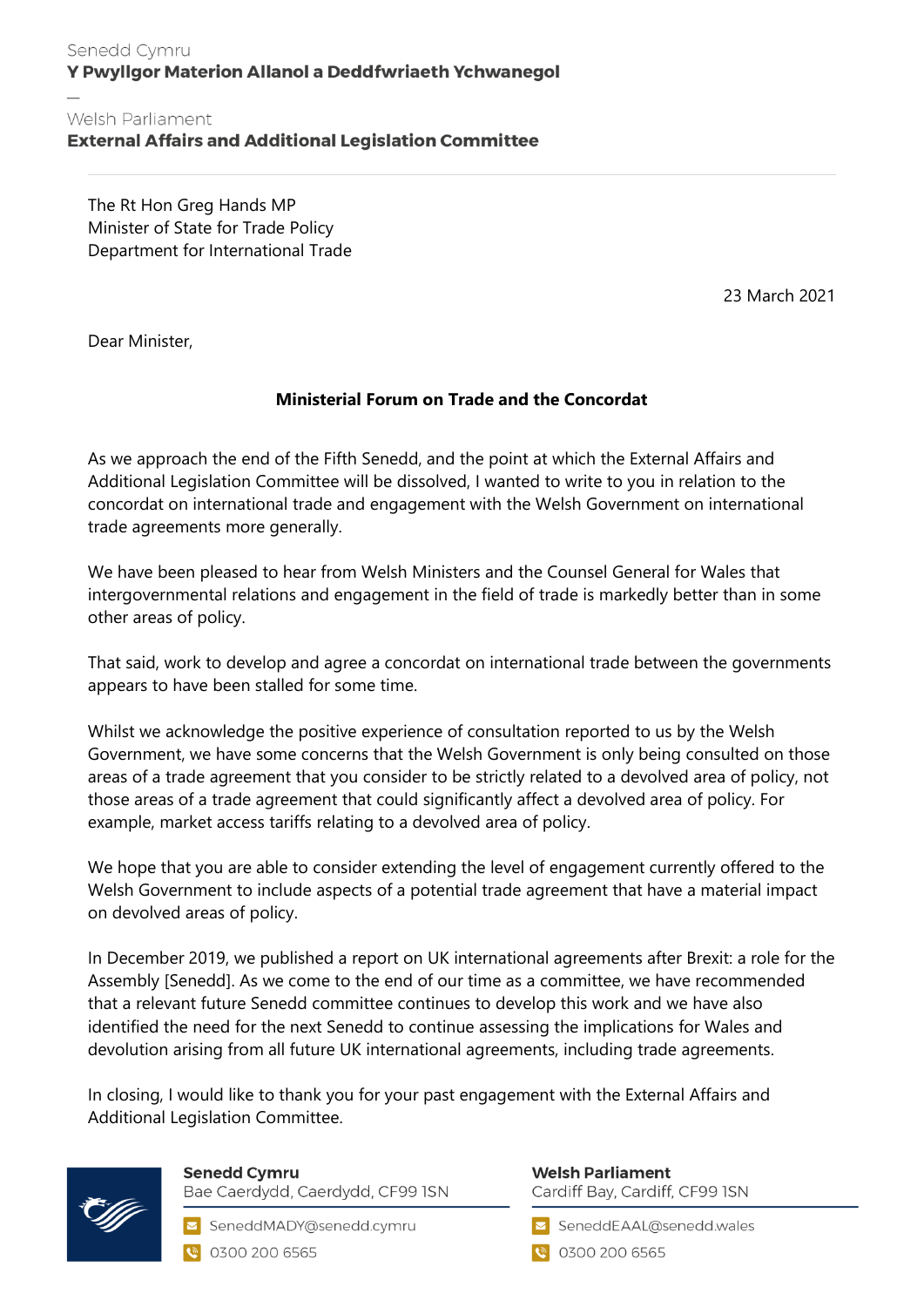## Senedd Cymru Y Pwyllgor Materion Allanol a Deddfwriaeth Ychwanegol

## Welsh Parliament **External Affairs and Additional Legislation Committee**

The Rt Hon Greg Hands MP Minister of State for Trade Policy Department for International Trade

23 March 2021

Dear Minister,

## **Ministerial Forum on Trade and the Concordat**

As we approach the end of the Fifth Senedd, and the point at which the External Affairs and Additional Legislation Committee will be dissolved, I wanted to write to you in relation to the concordat on international trade and engagement with the Welsh Government on international trade agreements more generally.

We have been pleased to hear from Welsh Ministers and the Counsel General for Wales that intergovernmental relations and engagement in the field of trade is markedly better than in some other areas of policy.

That said, work to develop and agree a concordat on international trade between the governments appears to have been stalled for some time.

Whilst we acknowledge the positive experience of consultation reported to us by the Welsh Government, we have some concerns that the Welsh Government is only being consulted on those areas of a trade agreement that you consider to be strictly related to a devolved area of policy, not those areas of a trade agreement that could significantly affect a devolved area of policy. For example, market access tariffs relating to a devolved area of policy.

We hope that you are able to consider extending the level of engagement currently offered to the Welsh Government to include aspects of a potential trade agreement that have a material impact on devolved areas of policy.

In December 2019, we published a report on UK international agreements after Brexit: a role for the Assembly [Senedd]. As we come to the end of our time as a committee, we have recommended that a relevant future Senedd committee continues to develop this work and we have also identified the need for the next Senedd to continue assessing the implications for Wales and devolution arising from all future UK international agreements, including trade agreements.

In closing, I would like to thank you for your past engagement with the External Affairs and Additional Legislation Committee.



**Senedd Cymru** Bae Caerdydd, Caerdydd, CF99 ISN

SeneddMADY@senedd.cymru C 0300 200 6565

**Welsh Parliament** Cardiff Bay, Cardiff, CF99 ISN

SeneddEAAL@senedd.wales

**@** 0300 200 6565